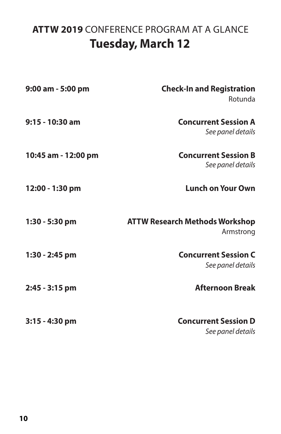# **ATTW 2019** CONFERENCE PROGRAM AT A GLANCE **Tuesday, March 12**

| 9:00 am - 5:00 pm   | <b>Check-In and Registration</b><br><b>Rotunda</b> |
|---------------------|----------------------------------------------------|
| $9:15 - 10:30$ am   | <b>Concurrent Session A</b><br>See panel details   |
| 10:45 am - 12:00 pm | <b>Concurrent Session B</b><br>See panel details   |
| 12:00 - 1:30 pm     | <b>Lunch on Your Own</b>                           |
| 1:30 - 5:30 pm      | <b>ATTW Research Methods Workshop</b><br>Armstrong |
| 1:30 - 2:45 pm      | <b>Concurrent Session C</b><br>See panel details   |
| 2:45 - 3:15 pm      | <b>Afternoon Break</b>                             |
| $3:15 - 4:30$ pm    | <b>Concurrent Session D</b><br>See panel details   |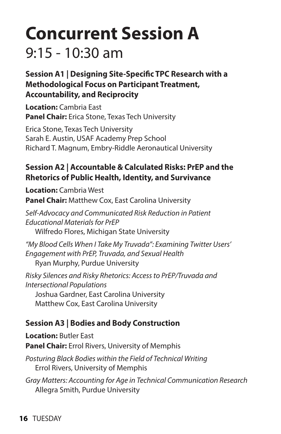# **Concurrent Session A**  $9:15 - 10:30$  am

**Session A1 | Designing Site-Specific TPC Research with a Methodological Focus on Participant Treatment, Accountability, and Reciprocity**

**Location:** Cambria East **Panel Chair:** Erica Stone, Texas Tech University

Erica Stone, Texas Tech University Sarah E. Austin, USAF Academy Prep School Richard T. Magnum, Embry-Riddle Aeronautical University

### **Session A2 | Accountable & Calculated Risks: PrEP and the Rhetorics of Public Health, Identity, and Survivance**

**Location:** Cambria West **Panel Chair:** Matthew Cox, East Carolina University

*Self-Advocacy and Communicated Risk Reduction in Patient Educational Materials for PrEP* Wilfredo Flores, Michigan State University

*"My Blood Cells When I Take My Truvada": Examining Twitter Users' Engagement with PrEP, Truvada, and Sexual Health*  Ryan Murphy, Purdue University

*Risky Silences and Risky Rhetorics: Access to PrEP/Truvada and Intersectional Populations*  Joshua Gardner, East Carolina University Matthew Cox, East Carolina University

## **Session A3 | Bodies and Body Construction**

**Location:** Butler East **Panel Chair:** Errol Rivers, University of Memphis

*Posturing Black Bodies within the Field of Technical Writing* Errol Rivers, University of Memphis

*Gray Matters: Accounting for Age in Technical Communication Research* Allegra Smith, Purdue University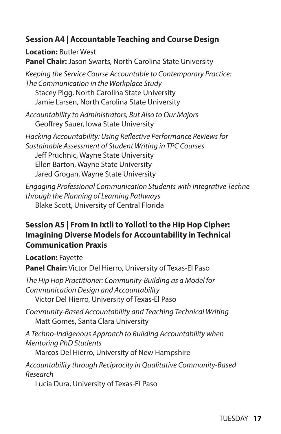### **Session A4 | Accountable Teaching and Course Design**

**Location:** Butler West **Panel Chair:** Jason Swarts, North Carolina State University

*Keeping the Service Course Accountable to Contemporary Practice: The Communication in the Workplace Study* Stacey Pigg, North Carolina State University Jamie Larsen, North Carolina State University

*Accountability to Administrators, But Also to Our Majors* Geoffrey Sauer, Iowa State University

*Hacking Accountability: Using Reflective Performance Reviews for Sustainable Assessment of Student Writing in TPC Courses* Jeff Pruchnic, Wayne State University Ellen Barton, Wayne State University Jared Grogan, Wayne State University

*Engaging Professional Communication Students with Integrative Techne through the Planning of Learning Pathways* Blake Scott, University of Central Florida

### **Session A5 | From In Ixtli to Yollotl to the Hip Hop Cipher: Imagining Diverse Models for Accountability in Technical Communication Praxis**

**Location:** Fayette

**Panel Chair:** Victor Del Hierro, University of Texas-El Paso

*The Hip Hop Practitioner: Community-Building as a Model for Communication Design and Accountability* Victor Del Hierro, University of Texas-El Paso

*Community-Based Accountability and Teaching Technical Writing*  Matt Gomes, Santa Clara University

*A Techno-Indigenous Approach to Building Accountability when Mentoring PhD Students* 

Marcos Del Hierro, University of New Hampshire

*Accountability through Reciprocity in Qualitative Community-Based Research*

Lucia Dura, University of Texas-El Paso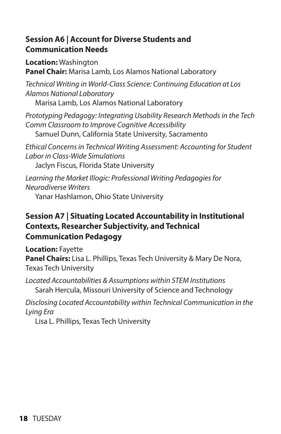#### **Session A6 | Account for Diverse Students and Communication Needs**

**Location:** Washington **Panel Chair:** Marisa Lamb, Los Alamos National Laboratory

*Technical Writing in World-Class Science: Continuing Education at Los Alamos National Laboratory*

Marisa Lamb, Los Alamos National Laboratory

*Prototyping Pedagogy: Integrating Usability Research Methods in the Tech Comm Classroom to Improve Cognitive Accessibility* Samuel Dunn, California State University, Sacramento

*Ethical Concerns in Technical Writing Assessment: Accounting for Student Labor in Class-Wide Simulations*

Jaclyn Fiscus, Florida State University

*Learning the Market Illogic: Professional Writing Pedagogies for Neurodiverse Writers*

Yanar Hashlamon, Ohio State University

### **Session A7 | Situating Located Accountability in Institutional Contexts, Researcher Subjectivity, and Technical Communication Pedagogy**

**Location:** Fayette

**Panel Chairs:** Lisa L. Phillips, Texas Tech University & Mary De Nora, Texas Tech University

*Located Accountabilities & Assumptions within STEM Institutions*  Sarah Hercula, Missouri University of Science and Technology

*Disclosing Located Accountability within Technical Communication in the Lying Era* 

Lisa L. Phillips, Texas Tech University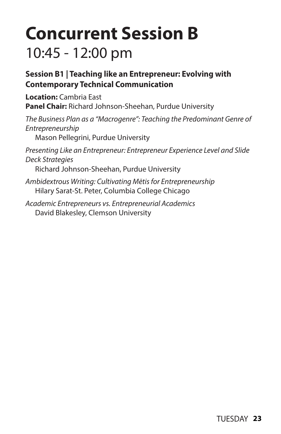# **Concurrent Session B** 10:45 - 12:00 pm

### **Session B1 | Teaching like an Entrepreneur: Evolving with Contemporary Technical Communication**

**Location:** Cambria East **Panel Chair:** Richard Johnson-Sheehan, Purdue University

*The Business Plan as a "Macrogenre": Teaching the Predominant Genre of Entrepreneurship*  Mason Pellegrini, Purdue University *Presenting Like an Entrepreneur: Entrepreneur Experience Level and Slide Deck Strategies* 

Richard Johnson-Sheehan, Purdue University

*Ambidextrous Writing: Cultivating Mētis for Entrepreneurship*  Hilary Sarat-St. Peter, Columbia College Chicago

*Academic Entrepreneurs vs. Entrepreneurial Academics*  David Blakesley, Clemson University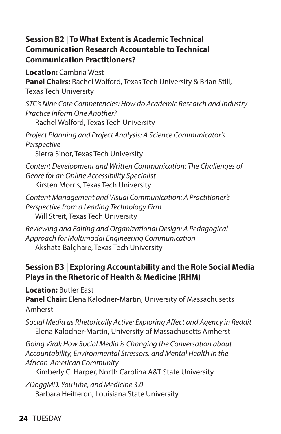### **Session B2 | To What Extent is Academic Technical Communication Research Accountable to Technical Communication Practitioners?**

**Location:** Cambria West **Panel Chairs:** Rachel Wolford, Texas Tech University & Brian Still, Texas Tech University

*STC's Nine Core Competencies: How do Academic Research and Industry Practice Inform One Another?*

Rachel Wolford, Texas Tech University

*Project Planning and Project Analysis: A Science Communicator's Perspective*

Sierra Sinor, Texas Tech University

*Content Development and Written Communication: The Challenges of Genre for an Online Accessibility Specialist* Kirsten Morris, Texas Tech University

*Content Management and Visual Communication: A Practitioner's Perspective from a Leading Technology Firm* Will Streit, Texas Tech University

*Reviewing and Editing and Organizational Design: A Pedagogical Approach for Multimodal Engineering Communication* Akshata Balghare, Texas Tech University

### **Session B3 | Exploring Accountability and the Role Social Media Plays in the Rhetoric of Health & Medicine (RHM)**

**Location:** Butler East **Panel Chair:** Elena Kalodner-Martin, University of Massachusetts Amherst

*Social Media as Rhetorically Active: Exploring Affect and Agency in Reddit*  Elena Kalodner-Martin, University of Massachusetts Amherst

*Going Viral: How Social Media is Changing the Conversation about Accountability, Environmental Stressors, and Mental Health in the African-American Community* 

Kimberly C. Harper, North Carolina A&T State University

*ZDoggMD, YouTube, and Medicine 3.0*  Barbara Heifferon, Louisiana State University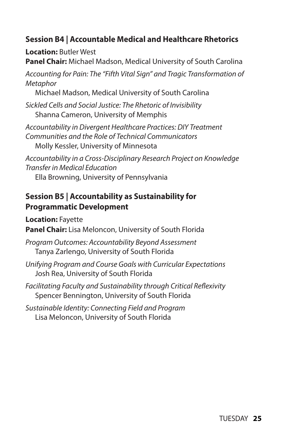### **Session B4 | Accountable Medical and Healthcare Rhetorics**

**Location:** Butler West **Panel Chair:** Michael Madson, Medical University of South Carolina

*Accounting for Pain: The "Fifth Vital Sign" and Tragic Transformation of Metaphor*

Michael Madson, Medical University of South Carolina

*Sickled Cells and Social Justice: The Rhetoric of Invisibility* Shanna Cameron, University of Memphis

*Accountability in Divergent Healthcare Practices: DIY Treatment Communities and the Role of Technical Communicators* Molly Kessler, University of Minnesota

*Accountability in a Cross-Disciplinary Research Project on Knowledge Transfer in Medical Education*

Ella Browning, University of Pennsylvania

#### **Session B5 | Accountability as Sustainability for Programmatic Development**

**Location:** Fayette

**Panel Chair:** Lisa Meloncon, University of South Florida

- *Program Outcomes: Accountability Beyond Assessment*  Tanya Zarlengo, University of South Florida
- *Unifying Program and Course Goals with Curricular Expectations*  Josh Rea, University of South Florida
- *Facilitating Faculty and Sustainability through Critical Reflexivity* Spencer Bennington, University of South Florida

*Sustainable Identity: Connecting Field and Program* Lisa Meloncon, University of South Florida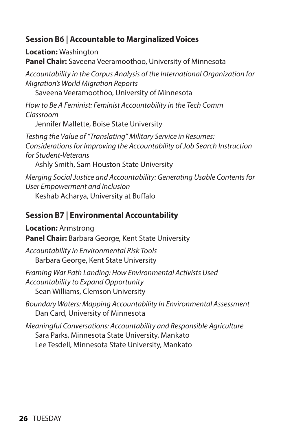### **Session B6 | Accountable to Marginalized Voices**

**Location:** Washington **Panel Chair:** Saveena Veeramoothoo, University of Minnesota

*Accountability in the Corpus Analysis of the International Organization for Migration's World Migration Reports*

Saveena Veeramoothoo, University of Minnesota

*How to Be A Feminist: Feminist Accountability in the Tech Comm Classroom*

Jennifer Mallette, Boise State University

*Testing the Value of "Translating" Military Service in Resumes: Considerations for Improving the Accountability of Job Search Instruction for Student-Veterans* Ashly Smith, Sam Houston State University

*Merging Social Justice and Accountability: Generating Usable Contents for User Empowerment and Inclusion*

Keshab Acharya, University at Buffalo

### **Session B7 | Environmental Accountability**

**Location:** Armstrong **Panel Chair:** Barbara George, Kent State University

*Accountability in Environmental Risk Tools* Barbara George, Kent State University

*Framing War Path Landing: How Environmental Activists Used Accountability to Expand Opportunity* Sean Williams, Clemson University

*Boundary Waters: Mapping Accountability In Environmental Assessment* Dan Card, University of Minnesota

*Meaningful Conversations: Accountability and Responsible Agriculture* Sara Parks, Minnesota State University, Mankato Lee Tesdell, Minnesota State University, Mankato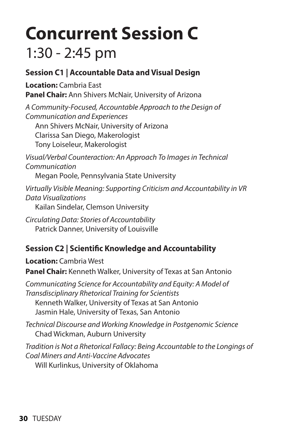# **Concurrent Session C** 1:30 - 2:45 pm

### **Session C1 | Accountable Data and Visual Design**

**Location:** Cambria East **Panel Chair:** Ann Shivers McNair, University of Arizona

*A Community-Focused, Accountable Approach to the Design of Communication and Experiences*

Ann Shivers McNair, University of Arizona Clarissa San Diego, Makerologist

Tony Loiseleur, Makerologist

*Visual/Verbal Counteraction: An Approach To Images in Technical Communication*

Megan Poole, Pennsylvania State University

*Virtually Visible Meaning: Supporting Criticism and Accountability in VR Data Visualizations* Kailan Sindelar, Clemson University

*Circulating Data: Stories of Accountability* Patrick Danner, University of Louisville

### **Session C2 | Scientific Knowledge and Accountability**

**Location:** Cambria West **Panel Chair:** Kenneth Walker, University of Texas at San Antonio

*Communicating Science for Accountability and Equity: A Model of Transdisciplinary Rhetorical Training for Scientists* Kenneth Walker, University of Texas at San Antonio Jasmin Hale, University of Texas, San Antonio

*Technical Discourse and Working Knowledge in Postgenomic Science* Chad Wickman, Auburn University

*Tradition is Not a Rhetorical Fallacy: Being Accountable to the Longings of Coal Miners and Anti-Vaccine Advocates* Will Kurlinkus, University of Oklahoma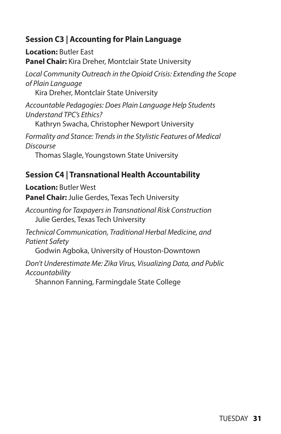### **Session C3 | Accounting for Plain Language**

**Location:** Butler East **Panel Chair:** Kira Dreher, Montclair State University

*Local Community Outreach in the Opioid Crisis: Extending the Scope of Plain Language*

Kira Dreher, Montclair State University

*Accountable Pedagogies: Does Plain Language Help Students Understand TPC's Ethics?*

Kathryn Swacha, Christopher Newport University

*Formality and Stance: Trends in the Stylistic Features of Medical Discourse*

Thomas Slagle, Youngstown State University

### **Session C4 | Transnational Health Accountability**

**Location:** Butler West **Panel Chair:** Julie Gerdes, Texas Tech University

*Accounting for Taxpayers in Transnational Risk Construction* Julie Gerdes, Texas Tech University

*Technical Communication, Traditional Herbal Medicine, and Patient Safety*

Godwin Agboka, University of Houston-Downtown

*Don't Underestimate Me: Zika Virus, Visualizing Data, and Public Accountability*

Shannon Fanning, Farmingdale State College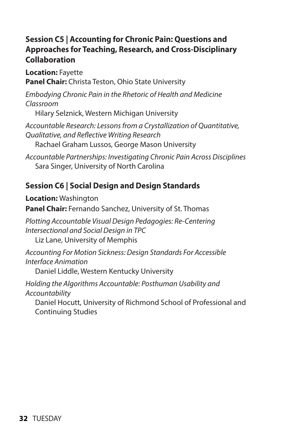### **Session C5 | Accounting for Chronic Pain: Questions and Approaches for Teaching, Research, and Cross-Disciplinary Collaboration**

**Location:** Fayette **Panel Chair:** Christa Teston, Ohio State University

*Embodying Chronic Pain in the Rhetoric of Health and Medicine Classroom* 

Hilary Selznick, Western Michigan University

*Accountable Research: Lessons from a Crystallization of Quantitative, Qualitative, and Reflective Writing Research* Rachael Graham Lussos, George Mason University

*Accountable Partnerships: Investigating Chronic Pain Across Disciplines*  Sara Singer, University of North Carolina

# **Session C6 | Social Design and Design Standards**

**Location:** Washington **Panel Chair:** Fernando Sanchez, University of St. Thomas

*Plotting Accountable Visual Design Pedagogies: Re-Centering Intersectional and Social Design in TPC* 

Liz Lane, University of Memphis

*Accounting For Motion Sickness: Design Standards For Accessible Interface Animation* 

Daniel Liddle, Western Kentucky University

*Holding the Algorithms Accountable: Posthuman Usability and Accountability*

Daniel Hocutt, University of Richmond School of Professional and Continuing Studies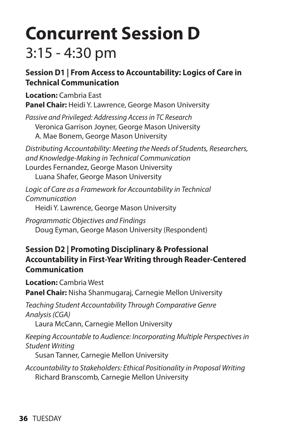# **Concurrent Session D**  3:15 - 4:30 pm

### **Session D1 | From Access to Accountability: Logics of Care in Technical Communication**

**Location:** Cambria East **Panel Chair:** Heidi Y. Lawrence, George Mason University

*Passive and Privileged: Addressing Access in TC Research* Veronica Garrison Joyner, George Mason University A. Mae Bonem, George Mason University

*Distributing Accountability: Meeting the Needs of Students, Researchers, and Knowledge-Making in Technical Communication* Lourdes Fernandez, George Mason University Luana Shafer, George Mason University

*Logic of Care as a Framework for Accountability in Technical Communication* Heidi Y. Lawrence, George Mason University

*Programmatic Objectives and Findings* Doug Eyman, George Mason University (Respondent)

### **Session D2 | Promoting Disciplinary & Professional Accountability in First-Year Writing through Reader-Centered Communication**

**Location:** Cambria West

**Panel Chair:** Nisha Shanmugaraj, Carnegie Mellon University

*Teaching Student Accountability Through Comparative Genre Analysis (CGA)* 

Laura McCann, Carnegie Mellon University

*Keeping Accountable to Audience: Incorporating Multiple Perspectives in Student Writing* 

Susan Tanner, Carnegie Mellon University

*Accountability to Stakeholders: Ethical Positionality in Proposal Writing* Richard Branscomb, Carnegie Mellon University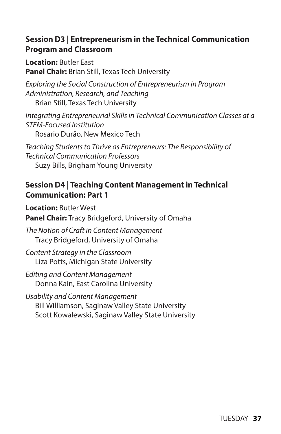#### **Session D3 | Entrepreneurism in the Technical Communication Program and Classroom**

**Location:** Butler East **Panel Chair:** Brian Still, Texas Tech University

*Exploring the Social Construction of Entrepreneurism in Program Administration, Research, and Teaching* Brian Still, Texas Tech University

*Integrating Entrepreneurial Skills in Technical Communication Classes at a STEM-Focused Institution* Rosario Durão, New Mexico Tech

*Teaching Students to Thrive as Entrepreneurs: The Responsibility of Technical Communication Professors*  Suzy Bills, Brigham Young University

### **Session D4 | Teaching Content Management in Technical Communication: Part 1**

**Location:** Butler West **Panel Chair:** Tracy Bridgeford, University of Omaha

*The Notion of Craft in Content Management*  Tracy Bridgeford, University of Omaha

*Content Strategy in the Classroom* Liza Potts, Michigan State University

*Editing and Content Management*  Donna Kain, East Carolina University

*Usability and Content Management*  Bill Williamson, Saginaw Valley State University Scott Kowalewski, Saginaw Valley State University